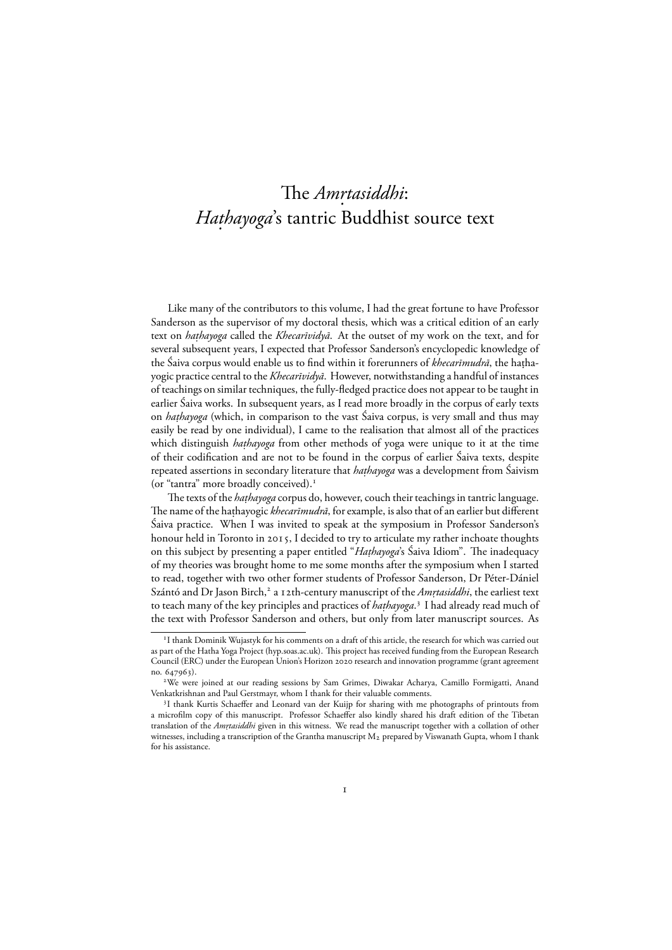# The *Am. rtasiddhi*: *Hathayoga*'s tantric Buddhist source text

Like many of the contributors to this volume, I had the great fortune to have Professor Sanderson as the supervisor of my doctoral thesis, which was a critical edition of an early text on *hathayoga* called the *Khecarīvidyā*. At the outset of my work on the text, and for several subsequent years, I expected that Professor Sanderson's encyclopedic knowledge of the Šaiva corpus would enable us to find within it forerunners of *khecarīmudrā*, the haṭhayogic practice central to the *Khecarīvidyā*. However, notwithstanding a handful of instances of teachings on similar techniques, the fully-fledged practice does not appear to be taught in earlier Śaiva works. In subsequent years, as I read more broadly in the corpus of early texts on *hathayoga* (which, in comparison to the vast Saiva corpus, is very small and thus may easily be read by one individual), I came to the realisation that almost all of the practices which distinguish *hathayoga* from other methods of yoga were unique to it at the time of their codification and are not to be found in the corpus of earlier Śaiva texts, despite repeated assertions in secondary literature that *haṭhayoga* was a development from Šaivism (or "tantra" more broadly conceived).

The texts of the *hathayoga* corpus do, however, couch their teachings in tantric language. The name of the hathayogic *khecarīmudrā*, for example, is also that of an earlier but different Śaiva practice. When I was invited to speak at the symposium in Professor Sanderson's honour held in Toronto in 2015, I decided to try to articulate my rather inchoate thoughts on this subject by presenting a paper entitled "*Haṭhayoga*'s Saiva Idiom". The inadequacy of my theories was brought home to me some months after the symposium when I started to read, together with two other former students of Professor Sanderson, Dr Péter-Dániel Szántó and Dr Jason Birch,<sup>2</sup> a 12th-century manuscript of the *Amrtasiddhi*, the earliest text to teach many of the key principles and practices of *hathayoga*.<sup>3</sup> I had already read much of the text with Professor Sanderson and others, but only from later manuscript sources. As

<sup>&</sup>lt;sup>1</sup>I thank Dominik Wujastyk for his comments on a draft of this article, the research for which was carried out as part of the Hatha Yoga Project (hyp.soas.ac.uk). This project has received funding from the European Research Council (ERC) under the European Union's Horizon 2020 research and innovation programme (grant agreement no. 647963).

We were joined at our reading sessions by Sam Grimes, Diwakar Acharya, Camillo Formigatti, Anand Venkatkrishnan and Paul Gerstmayr, whom I thank for their valuable comments.

<sup>&</sup>lt;sup>3</sup>I thank Kurtis Schaeffer and Leonard van der Kuijp for sharing with me photographs of printouts from a microfilm copy of this manuscript. Professor Schaeffer also kindly shared his draft edition of the Tibetan translation of the *Amrtasiddhi* given in this witness. We read the manuscript together with a collation of other witnesses, including a transcription of the Grantha manuscript  $M_2$  prepared by Viswanath Gupta, whom I thank for his assistance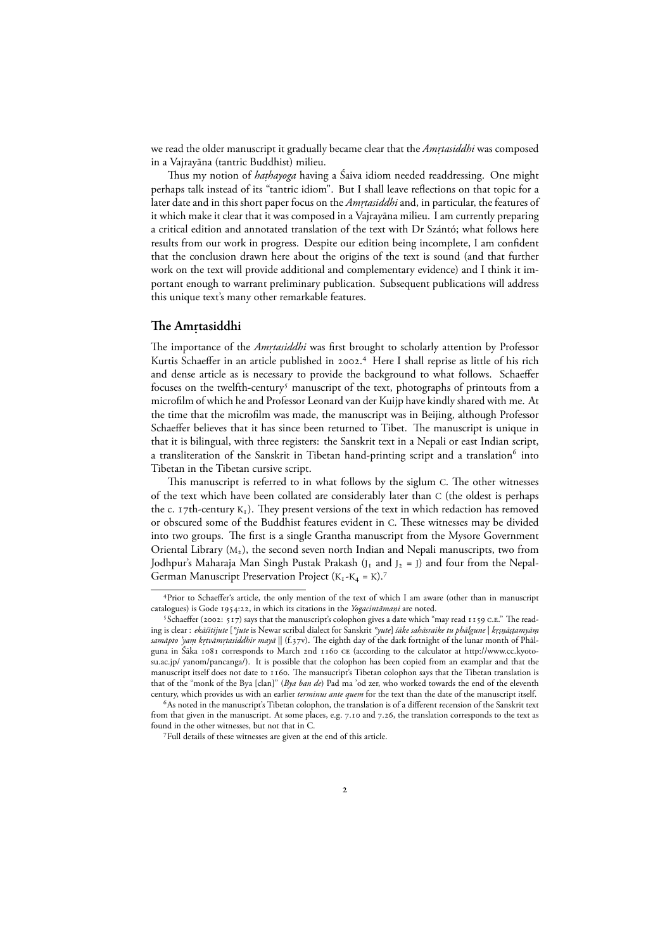we read the older manuscript it gradually became clear that the *Am. rtasiddhi* was composed in a Vajrayāna (tantric Buddhist) milieu.

Thus my notion of *haṭhayoga* having a Saiva idiom needed readdressing. One might perhaps talk instead of its "tantric idiom". But I shall leave reflections on that topic for a later date and in this short paper focus on the *Amṛtasiddhi* and, in particular, the features of it which make it clear that it was composed in a Vajrayāna milieu. I am currently preparing a critical edition and annotated translation of the text with Dr Szántó; what follows here results from our work in progress. Despite our edition being incomplete, I am confident that the conclusion drawn here about the origins of the text is sound (and that further work on the text will provide additional and complementary evidence) and I think it important enough to warrant preliminary publication. Subsequent publications will address this unique text's many other remarkable features.

## The Amṛtasiddhi

The importance of the *Amrtasiddhi* was first brought to scholarly attention by Professor Kurtis Schaeffer in an article published in 2002.<sup>4</sup> Here I shall reprise as little of his rich and dense article as is necessary to provide the background to what follows. Schaeffer focuses on the twelfth-century<sup>5</sup> manuscript of the text, photographs of printouts from a microfilm of which he and Professor Leonard van der Kuijp have kindly shared with me. At the time that the microfilm was made, the manuscript was in Beijing, although Professor Schaeffer believes that it has since been returned to Tibet. The manuscript is unique in that it is bilingual, with three registers: the Sanskrit text in a Nepali or east Indian script, a transliteration of the Sanskrit in Tibetan hand-printing script and a translation<sup>6</sup> into Tibetan in the Tibetan cursive script.

This manuscript is referred to in what follows by the siglum C. The other witnesses of the text which have been collated are considerably later than C (the oldest is perhaps the c. 17th-century  $K_1$ ). They present versions of the text in which redaction has removed or obscured some of the Buddhist features evident in C. These witnesses may be divided into two groups. The first is a single Grantha manuscript from the Mysore Government Oriental Library  $(M_2)$ , the second seven north Indian and Nepali manuscripts, two from Jodhpur's Maharaja Man Singh Pustak Prakash  $(I_1$  and  $I_2 = I)$  and four from the Nepal-German Manuscript Preservation Project  $(K_1-K_4 = K).$ <sup>7</sup>

Prior to Schaeffer's article, the only mention of the text of which I am aware (other than in manuscript catalogues) is Gode 1954:22, in which its citations in the *Yogacintāmani* are noted.

<sup>&</sup>lt;sup>5</sup> Schaeffer (2002: 517) says that the manuscript's colophon gives a date which "may read 1159 C.E." The reading is clear : *ekāśītijute* [*°jute* is Newar scribal dialect for Sanskrit *°yute*] *śāke sahāsraike tu phālgune* | *kr.. snā. . s. tamyām. samāpto 'yam krtvāmṛtasiddhir mayā* || (f.37v). The eighth day of the dark fortnight of the lunar month of Phālguna in Śāka 1081 corresponds to March 2nd 1160 CE (according to the calculator at http://www.cc.kyotosu.ac.jp/ yanom/pancanga/). It is possible that the colophon has been copied from an examplar and that the manuscript itself does not date to 1160. The mansucript's Tibetan colophon says that the Tibetan translation is that of the "monk of the Bya [clan]" (*Bya ban de*) Pad ma 'od zer, who worked towards the end of the eleventh century, which provides us with an earlier *terminus ante quem* for the text than the date of the manuscript itself.

As noted in the manuscript's Tibetan colophon, the translation is of a different recension of the Sanskrit text from that given in the manuscript. At some places, e.g. 7.10 and 7.26, the translation corresponds to the text as found in the other witnesses, but not that in C.

Full details of these witnesses are given at the end of this article.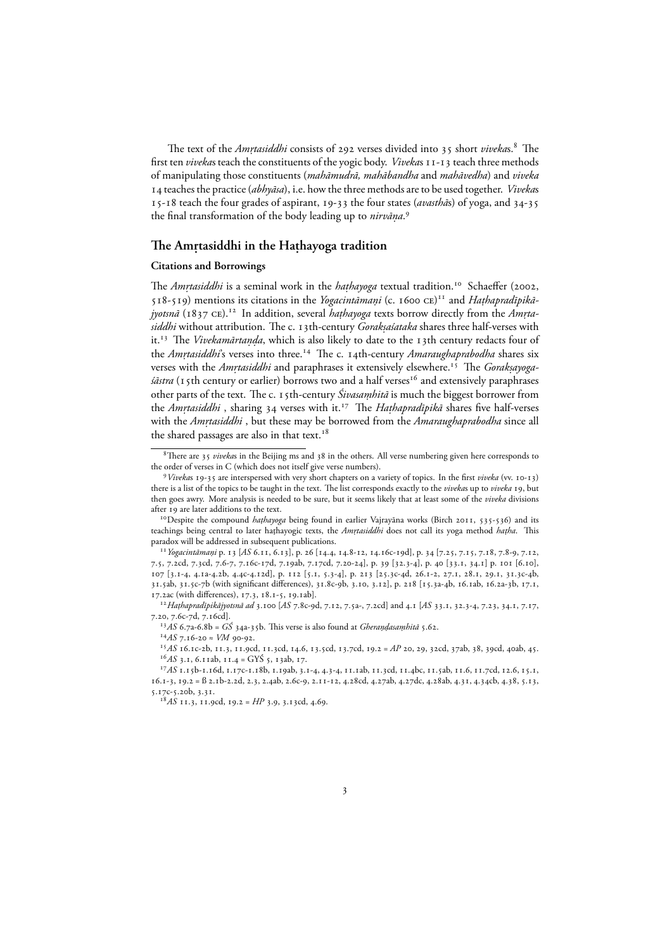The text of the *Amrtasiddhi* consists of 292 verses divided into 35 short *viveka*s.<sup>8</sup> The first ten *viveka*s teach the constituents of the yogic body. *Viveka*s 11-13 teach three methods of manipulating those constituents (*mahāmudrā, mahābandha* and *mahāvedha*) and *viveka* teaches the practice (*abhyāsa*), i.e. how the three methods are to be used together. *Viveka*s 15-18 teach the four grades of aspirant, 19-33 the four states (*avasthās*) of yoga, and 34-35 the final transformation of the body leading up to *nirvāna.* .

## The Amṛtasiddhi in the Haṭhayoga tradition

#### **Citations and Borrowings**

The *Amrtasiddhi* is a seminal work in the *hathayoga* textual tradition.<sup>10</sup> Schaeffer (2002, 518-519) mentions its citations in the *Yogacintāmani* (c. 1600 CE)<sup>11</sup> and *Hathapradīpikājyotsnā* (1837 ce).<sup>12</sup> In addition, several *hathayoga* texts borrow directly from the *Amrtasiddhi* without attribution. The c. 13th-century *Gorakṣaśataka* shares three half-verses with it.<sup>13</sup> The *Vivekamārtaṇḍa*, which is also likely to date to the 13th century redacts four of the *Amrtasiddhi*'s verses into three.<sup>14</sup> The c. 14th-century *Amaraughaprabodha* shares six verses with the *Amrtasiddhi* and paraphrases it extensively elsewhere.<sup>15</sup> The *Goraksayogaśāstra* (15th century or earlier) borrows two and a half verses<sup>16</sup> and extensively paraphrases other parts of the text. The c. 15th-century *Śivasaṃhitā* is much the biggest borrower from the *Amrtasiddhi*, sharing 34 verses with it.<sup>17</sup> The *Hathapradīpikā* shares five half-verses with the *Amṛtasiddhi* , but these may be borrowed from the *Amaraughaprabodha* since all the shared passages are also in that text.<sup>18</sup>

<sup>15</sup> AS 16.1c-2b, 11.3, 11.9cd, 11.3cd, 14.6, 13.5cd, 13.7cd, 19.2 = AP 20, 29, 32cd, 37ab, 38, 39cd, 40ab, 45.  $^{16}AS$  3.1, 6.11ab, 11.4 = GYŚ 5, 13ab, 17.

<sup>&</sup>lt;sup>8</sup>There are 35 *vivekas* in the Beijing ms and 38 in the others. All verse numbering given here corresponds to the order of verses in C (which does not itself give verse numbers).

<sup>&</sup>lt;sup>9</sup> Vivekas 19-35 are interspersed with very short chapters on a variety of topics. In the first *viveka* (vv. 10-13) there is a list of the topics to be taught in the text. The list corresponds exactly to the *viveka*s up to *viveka* 19, but then goes awry. More analysis is needed to be sure, but it seems likely that at least some of the *viveka* divisions after 19 are later additions to the text.

<sup>&</sup>lt;sup>10</sup> Despite the compound *hathayoga* being found in earlier Vajrayāna works (Birch 2011, 535-536) and its teachings being central to later hathayogic texts, the *Amrtasiddhi* does not call its yoga method *hatha*. This paradox will be addressed in subsequent publications.

<sup>&</sup>lt;sup>11</sup> Yogacintāmaṇi p. 13 [AS 6.11, 6.13], p. 26 [14.4, 14.8-12, 14.16c-19d], p. 34 [7.25, 7.15, 7.18, 7.8-9, 7.12, 7.5, 7.2cd, 7.3cd, 7.6-7, 7.16c-17d, 7.19ab, 7.17cd, 7.20-24], p. 39 [32.3-4], p. 40 [33.1, 34.1] p. 101 [6.10], 107 [3.1-4, 4.1a-4.2b, 4.4c-4.12d], p. 112 [5.1, 5.3-4], p. 213 [25.3c-4d, 26.1-2, 27.1, 28.1, 29.1, 31.3c-4b, 31.5ab, 31.5c-7b (with significant differences), 31.8c-9b, 3.10, 3.12], p. 218 [15.3a-4b, 16.1ab, 16.2a-3b, 17.1, 17.2ac (with differences), 17.3, 18.1-5, 19.1ab].

<sup>&</sup>lt;sup>12</sup> Hathapradīpikājyotsnā ad 3.100 [AS 7.8c-9d, 7.12, 7.5a-, 7.2cd] and 4.1 [AS 33.1, 32.3-4, 7.23, 34.1, 7.17, 7.20, 7.6c-7d, 7.16cd].

<sup>&</sup>lt;sup>13</sup>AS 6.7a-6.8b = *GŚ* 34a-35b. This verse is also found at *Gherandasamhitā* 5.62.

 $^{14}AS$  7.16-20  $\approx$  *VM* 90-92.

<sup>&</sup>lt;sup>17</sup>AS 1.15b-1.16d, 1.17c-1.18b, 1.19ab, 3.1-4, 4.3-4, 11.1ab, 11.3cd, 11.4bc, 11.5ab, 11.6, 11.7cd, 12.6, 15.1, 16.1-3, 19.2 = B 2.1b-2.2d, 2.3, 2.4ab, 2.6c-9, 2.11-12, 4.28cd, 4.27ab, 4.27dc, 4.28ab, 4.31, 4.34cb, 4.38, 5.13, 5.17c-5.20b, 3.31.

 $A^{\text{B}}AS$  11.3, 11.9cd, 19.2 =  $HP$  3.9, 3.13cd, 4.69.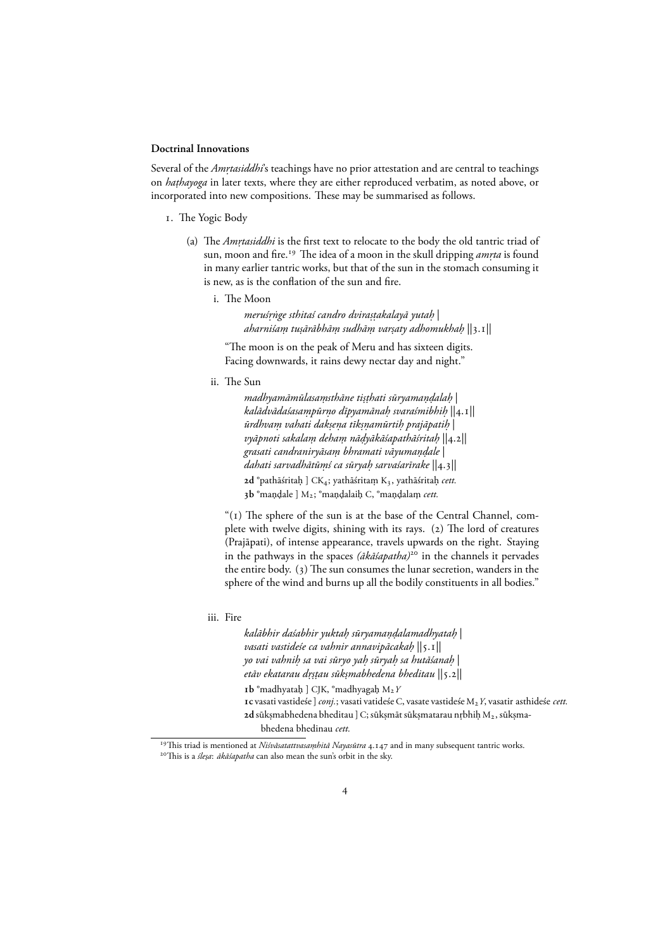#### **Doctrinal Innovations**

Several of the *Amṛtasiddhi*'s teachings have no prior attestation and are central to teachings on *haṭhayoga* in later texts, where they are either reproduced verbatim, as noted above, or incorporated into new compositions. These may be summarised as follows.

- . The Yogic Body
	- (a) The *Amrtasiddhi* is the first text to relocate to the body the old tantric triad of sun, moon and fire.<sup>19</sup> The idea of a moon in the skull dripping *amrta* is found in many earlier tantric works, but that of the sun in the stomach consuming it is new, as is the conflation of the sun and fire.
		- i. The Moon

*meruś . rnge sthitaś candro dvira ˙ . s . takalayā yutah.* | *aharniśam tu . . sārābhām sudhā . m var . . saty adhomukhah.* ||.||

"The moon is on the peak of Meru and has sixteen digits. Facing downwards, it rains dewy nectar day and night."

ii. The Sun

*madhyamāmūlasamsthāne ti . . s . thati sūryaman. dala . h.* | *kalādvādaśasampūr . no dīpyamāna . h svaraśmibhi . h.* ||.|| *ūrdhvam vahati dak . . sena tīk . . snamūrti . h prajāpati . h.* | *vyāpnoti sakalam deha . m nā . dyākāśapathāśrita . h.* ||.|| *grasati candraniryāsam bhramati vāyuma . n. dale .* | *dahati sarvadhātūmś ca sūrya . h sarvaśarīrake .* ||.|| **2d** °pathāśritaḥ ] CK<sub>4</sub>; yathāśritaṃ K3, yathāśritaḥ *cett*. 3b °mandale ] M<sub>2</sub>; °mandalaih C, °mandalam *cett*.

" $(1)$  The sphere of the sun is at the base of the Central Channel, complete with twelve digits, shining with its rays.  $(2)$  The lord of creatures (Prajāpati), of intense appearance, travels upwards on the right. Staying in the pathways in the spaces *(ākāśapatha)*<sup>20</sup> in the channels it pervades the entire body.  $(3)$  The sun consumes the lunar secretion, wanders in the sphere of the wind and burns up all the bodily constituents in all bodies.'

iii. Fire

*kalābhir daśabhir yuktah sūryama . n. dalamadhyata . h.* | *vasati vastideśe ca vahnir annavipācakah.* ||.|| *yo vai vahnih sa vai sūryo ya . h sūrya . h sa hutāśana . h.* | etāv ekatarau dṛṣṭau sūkṣmabhedena bheditau ||5.2||  $\mathbf{b}$  °madhyatah ] CJK, °madhyagah M<sub>2</sub> *Y* **c** vasati vastideśe ]*conj.*; vasati vatideśe C, vasate vastideśe M*Y*, vasatir asthideśe *cett.*

**<sup>2</sup>d** sūkṣmabhedena bheditau ] C; sūkṣmāt sūkṣmatarau nṛbhiḥ M2, sūkṣmabhedena bhedinau *cett.*

<sup>&</sup>lt;sup>19</sup>This triad is mentioned at *Niśvāsatattvasaṃhitā Nayasūtra* 4.147 and in many subsequent tantric works. <sup>20</sup>This is a *śleșa: ākāśapatha* can also mean the sun's orbit in the sky.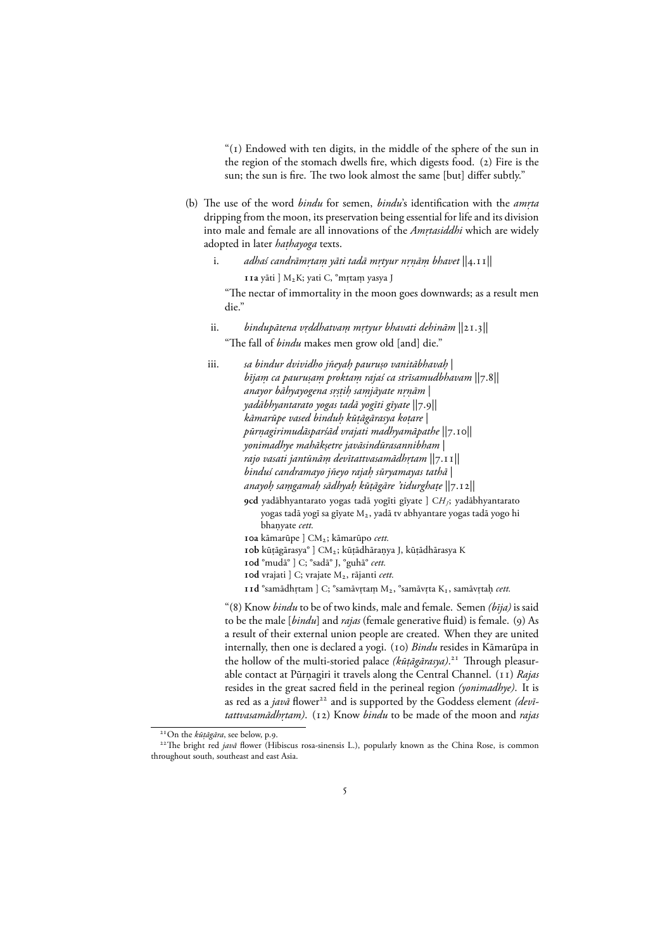" $(1)$  Endowed with ten digits, in the middle of the sphere of the sun in the region of the stomach dwells fire, which digests food. (2) Fire is the sun; the sun is fire. The two look almost the same [but] differ subtly."

- (b) The use of the word *bindu* for semen, *bindu*'s identification with the *amrta* dripping from the moon, its preservation being essential for life and its division into male and female are all innovations of the *Am. rtasiddhi* which are widely adopted in later *haṭhayoga* texts.
	- i. adhaś candrāmṛtaṃ yāti tadā mṛtyur nṛṇāṃ bhavet  $||$ 4.11 $||$ 11a yāti ] M2K; yati C, °mṛtaṃ yasya J

"The nectar of immortality in the moon goes downwards; as a result men die."

- ii. *bindupātena vṛddhatvaṃ mṛtyur bhavati dehinām*  $||2$ 1.3 $||$ "The fall of *bindu* makes men grow old [and] die."
- iii. *sa bindur dvividho jñeyaḥ pauruṣo vanitābhavaḥ* | *bījam ca pauru . . sam prokta . m rajaś ca strīsamudbhavam .* ||.|| *anayor bāhyayogena s. r. s . tih sa . mjāyate n . . rnām.* | *yadābhyantarato yogas tadā yogīti gīyate*  $||7.9||$ *kāmarūpe vased binduh kū . . tāgārasya ko. tare* | pūrņagirimudāsparśād vrajati madhyamāpathe  $\ket{7.1}$ 0 $\ket{1}$ *yonimadhye mahāk. setre javāsindūrasannibham* | *rajo vasati jantūnām devītattvasamādh . . rtam* ||.|| *binduś candramayo jñeyo rajah sūryamayas tathā .* | *anayoh sa . mgama . h sādhya . h kū . . tāgāre 'tidurgha. te* ||.|| **cd** yadābhyantarato yogas tadā yogīti gīyate ] C*HJ*; yadābhyantarato yogas tadā yogī sa gīyate M<sub>2</sub>, yadā tv abhyantare yogas tadā yogo hi bhanyate . *cett.* **a** kāmarūpe ] CM; kāmarūpo *cett.* 10b kūțāgārasya° ] CM<sub>2</sub>; kūțādhāranya J, kūțādhārasya K **d** °mudā° ] C; °sadā° J, °guhā° *cett.* **d** vrajati ] C; vrajate M, rājanti *cett.* **11d** °samādhrtam ] C; °samāvrtam M<sub>2</sub>, °samāvrta K<sub>1</sub>, samāvrtaņ cett. "(8) Know *bindu* to be of two kinds, male and female. Semen *(bīja)* is said

to be the male [*bindu*] and *rajas* (female generative fluid) is female. (9) As a result of their external union people are created. When they are united internally, then one is declared a yogi. (10) *Bindu* resides in Kāmarūpa in the hollow of the multi-storied palace *(kū. tāgārasya)*. Through pleasurable contact at Pūrnagiri it travels along the Central Channel. (11) Rajas resides in the great sacred field in the perineal region *(yonimadhye)*. It is as red as a *javā* flower<sup>22</sup> and is supported by the Goddess element *(devitattvasamādhr़tam*). (12) Know *bindu* to be made of the moon and *rajas* 

<sup>&</sup>lt;sup>21</sup> On the *kūṭāgāra*, see below, p.9.

<sup>&</sup>lt;sup>22</sup>The bright red *javā* flower (Hibiscus rosa-sinensis L.), popularly known as the China Rose, is common throughout south, southeast and east Asia.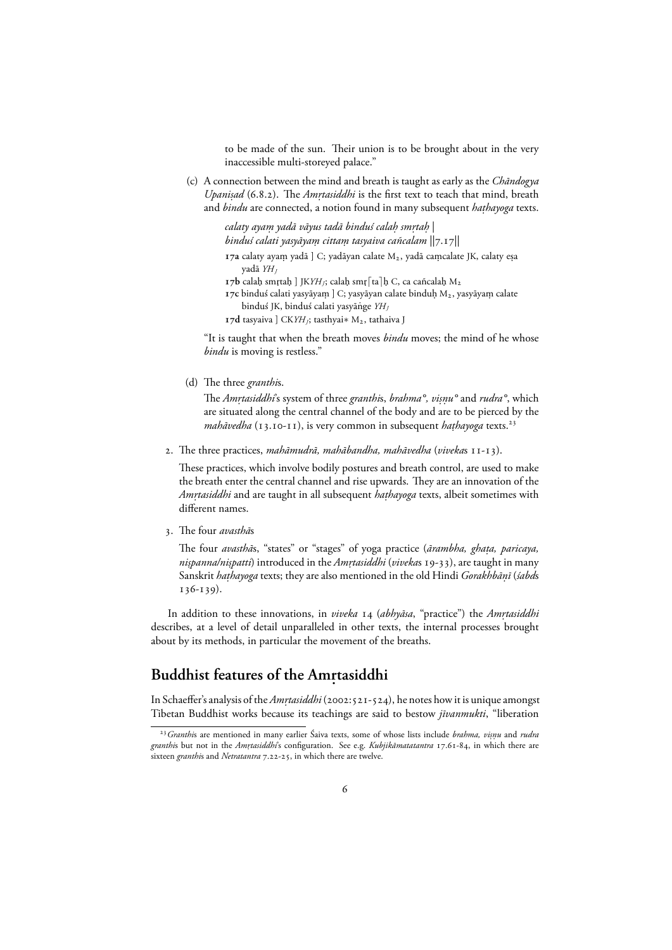to be made of the sun. Their union is to be brought about in the very inaccessible multi-storeyed palace."

(c) A connection between the mind and breath is taught as early as the *Chāndogya Upanisad* (6.8.2). The *Amrtasiddhi* is the first text to teach that mind, breath and *bindu* are connected, a notion found in many subsequent *haṭhayoga* texts.

> *calaty ayam yadā vāyus tadā binduś cala . h sm. . rtah.* | *binduś calati yasyāyam citta . m tasyaiva cañcalam .* ||.|| 17a calaty ayam yadā ] C; yadāyan calate M<sub>2</sub>, yadā camcalate JK, calaty eşa yadā *YH<sup>J</sup>*

- *I* 7**b** calah smṛtaḥ ] JK*YH<sub>J</sub>*; calaḥ smṛ $\lceil \tan \lceil \ln C \rceil$ , ca cañcalaḥ M<sub>2</sub>
- **r** 7c binduś calati yasyāyam ] C; yasyāyan calate binduḥ M<sub>2</sub>, yasyāyam calate binduś JK, binduś calati yasyānge  $YH_I$

**17d** tasyaiva ] CK*YH<sub>I</sub>*; tasthyai∗ M<sub>2</sub>, tathaiva J

"It is taught that when the breath moves *bindu* moves; the mind of he whose *bindu* is moving is restless."

(d) The three *granthi*s.

The *Am. rtasiddhi*'s system of three *granthi*s, *brahma°, vi. snu° .* and *rudra°*, which are situated along the central channel of the body and are to be pierced by the *mahāvedha* (13.10-11), is very common in subsequent *hathayoga* texts.<sup>23</sup>

2. The three practices, *mahāmudrā, mahābandha, mahāvedha* (*viveka*s 11-13).

These practices, which involve bodily postures and breath control, are used to make the breath enter the central channel and rise upwards. They are an innovation of the *Amṛtasiddhi* and are taught in all subsequent *haṭhayoga* texts, albeit sometimes with different names.

. The four *avasthā*s

The four *avasthā*s, "states" or "stages" of yoga practice (*ārambha, ghaṭa, paricaya, nispanna/nispatti*) introduced in the *Amṛtasiddhi (viveka*s 19-33), are taught in many Sanskrit *haṭhayoga* texts; they are also mentioned in the old Hindi *Gorakhbāṇī (śabd*s  $136 - 139$ ).

In addition to these innovations, in *viveka* 14 (*abhyāsa*, "practice") the *Amṛtasiddhi* describes, at a level of detail unparalleled in other texts, the internal processes brought about by its methods, in particular the movement of the breaths.

## **Buddhist features of the Amṛtasiddhi**

In Schaeffer's analysis of the *Amrtasiddhi* (2002:521-524), he notes how it is unique amongst Tibetan Buddhist works because its teachings are said to bestow *jīvanmukti*, "liberation

*Granthi*s are mentioned in many earlier Śaiva texts, some of whose lists include *brahma, vi. snu.* and *rudra granthis* but not in the *Amrtasiddhi*'s configuration. See e.g. *Kubjikāmatatantra* 17.61-84, in which there are sixteen *granthis* and *Netratantra* 7.22-25, in which there are twelve.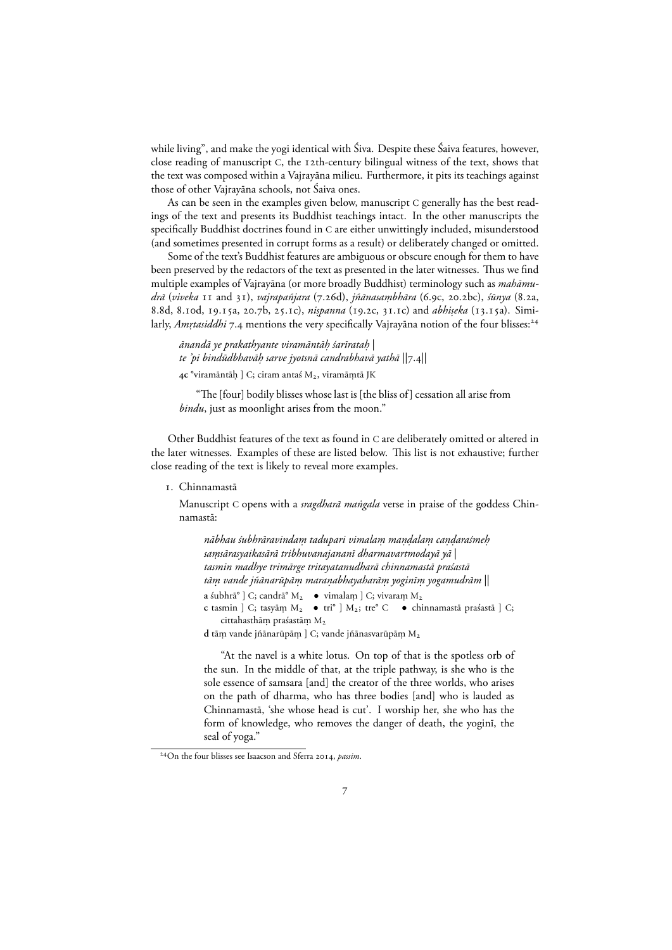while living", and make the yogi identical with Śiva. Despite these Śaiva features, however, close reading of manuscript C, the 12th-century bilingual witness of the text, shows that the text was composed within a Vajrayāna milieu. Furthermore, it pits its teachings against those of other Vajrayāna schools, not Śaiva ones.

As can be seen in the examples given below, manuscript C generally has the best readings of the text and presents its Buddhist teachings intact. In the other manuscripts the specifically Buddhist doctrines found in C are either unwittingly included, misunderstood (and sometimes presented in corrupt forms as a result) or deliberately changed or omitted.

Some of the text's Buddhist features are ambiguous or obscure enough for them to have been preserved by the redactors of the text as presented in the later witnesses. Thus we find multiple examples of Vajrayāna (or more broadly Buddhist) terminology such as *mahāmudrā* (viveka 11 and 31), *vajrapañjara* (7.26d), *jñānasaṃbhāra* (6.9c, 20.2bc), *śūnya* (8.2a, 8.8d, 8.10d, 19.15a, 20.7b, 25.1c), *nispanna* (19.2c, 31.1c) and *abhiseka* (13.15a). Similarly, *Amrtasiddhi* 7.4 mentions the very specifically Vajrayāna notion of the four blisses:<sup>24</sup>

*ānandā ye prakathyante viramāntāh śarīrata . h.* | te 'pi bindūdbhavāḥ sarve jyotsnā candrabhavā yathā  $\vert \vert$ 7.4 $\vert \vert$ 4c °viramāntāḥ ] C; ciram antaś M<sub>2</sub>, viramāṃtā JK

"The [four] bodily blisses whose last is [the bliss of ] cessation all arise from *bindu*, just as moonlight arises from the moon."

Other Buddhist features of the text as found in C are deliberately omitted or altered in the later witnesses. Examples of these are listed below. This list is not exhaustive; further close reading of the text is likely to reveal more examples.

#### . Chinnamastā

Manuscript C opens with a *sragdharā mangala* verse in praise of the goddess Chinnamastā:

*nābhau śubhrāravindam tadupari vimala . m ma . n. dala . m ca . n. daraśme . h. samsārasyaikasārā tribhuvanajananī dharmavartmodayā yā .* | *tasmin madhye trimārge tritayatanudharā chinnamastā praśastā tām vande jñānarūpā . m mara . nabhayaharā . m yoginī . m yogamudrām .* || **a** śubhrā° ] C; candrā° M<sub>2</sub> ● vimalam ] C; vivaram M<sub>2</sub> **c** tasmin ] C; tasyām M<sub>2</sub> ● tri° ] M<sub>2</sub>; tre° C ● chinnamastā praśastā ] C; cittahasthām praśastām  $M_2$ 

d tām vande jñānarūpām ] C; vande jñānasvarūpām M<sub>2</sub>

"At the navel is a white lotus. On top of that is the spotless orb of the sun. In the middle of that, at the triple pathway, is she who is the sole essence of samsara [and] the creator of the three worlds, who arises on the path of dharma, who has three bodies [and] who is lauded as Chinnamastā, 'she whose head is cut'. I worship her, she who has the form of knowledge, who removes the danger of death, the yoginī, the seal of yoga."

<sup>&</sup>lt;sup>24</sup>On the four blisses see Isaacson and Sferra 2014, *passim*.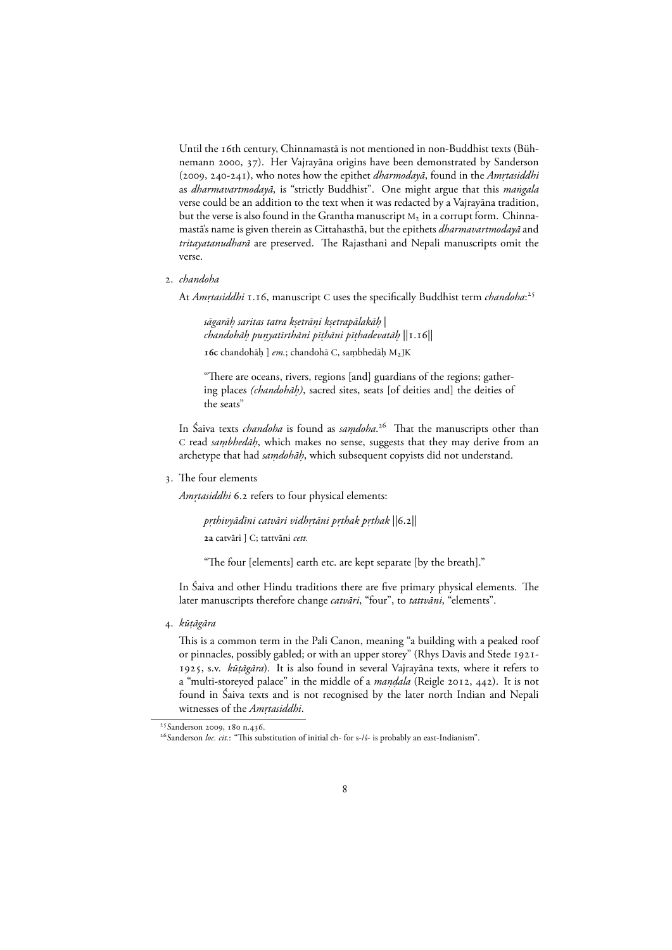Until the 16th century, Chinnamastā is not mentioned in non-Buddhist texts (Bühnemann 2000, 37). Her Vajrayāna origins have been demonstrated by Sanderson (2009, 240-241), who notes how the epithet *dharmodayā*, found in the *Amrtasiddhi* as *dharmavartmodayā*, is "strictly Buddhist". One might argue that this *mangala ˙* verse could be an addition to the text when it was redacted by a Vajrayāna tradition, but the verse is also found in the Grantha manuscript  $M_2$  in a corrupt form. Chinnamastā's name is given therein as Cittahasthā, but the epithets *dharmavartmodayā* and *tritayatanudharā* are preserved. The Rajasthani and Nepali manuscripts omit the verse.

. *chandoha*

At *Amrtasiddhi* 1.16, manuscript C uses the specifically Buddhist term *chandoha*:<sup>25</sup>

*sāgarāh saritas tatra k . . setrāni k . . setrapālakāh.* | *chandohāh pu . nyatīrthāni pī . . thāni pī. thadevatāh.* ||.|| 16c chandohāḥ ] *em*.; chandohā C, saṃbhedāḥ M2JK

"There are oceans, rivers, regions [and] guardians of the regions; gathering places *(chandohāh).* , sacred sites, seats [of deities and] the deities of the seats"

In Śaiva texts *chandoha* is found as *samdoha .* . That the manuscripts other than C read *sambhedāh*, which makes no sense, suggests that they may derive from an archetype that had *saṃdohāḥ*, which subsequent copyists did not understand.

. The four elements

*Amṛtasiddhi* 6.2 refers to four physical elements:

*p. rthivyādīni catvāri vidh. rtāni p. rthak p. rthak* ||.|| **a** catvāri ] C; tattvāni *cett.*

"The four [elements] earth etc. are kept separate [by the breath]."

In Śaiva and other Hindu traditions there are five primary physical elements. The later manuscripts therefore change *catvāri*, "four", to *tattvāni*, "elements".

. *kū. tāgāra*

This is a common term in the Pali Canon, meaning "a building with a peaked roof or pinnacles, possibly gabled; or with an upper storey" (Rhys Davis and Stede 1921-1925, s.v. *kūṭāgāra*). It is also found in several Vajrayāna texts, where it refers to a "multi-storeyed palace" in the middle of a *mandala* (Reigle 2012, 442). It is not found in Śaiva texts and is not recognised by the later north Indian and Nepali witnesses of the *Amrtasiddhi*.

<sup>&</sup>lt;sup>25</sup> Sanderson 2009, 180 n.436.

<sup>&</sup>lt;sup>26</sup> Sanderson loc. cit.: "This substitution of initial ch- for s-/ś- is probably an east-Indianism".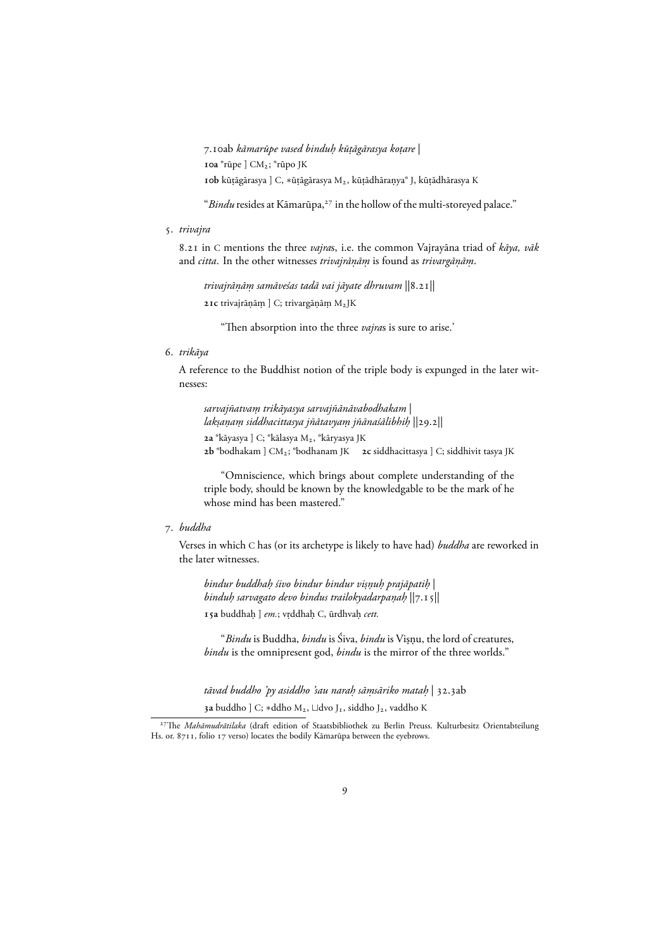.ab *kāmarūpe vased binduh kū . . tāgārasya ko. tare* | **a** °rūpe ] CM; °rūpo JK **10b** kūṭāgārasya ] C, ∗ūṭāgārasya M<sub>2</sub>, kūṭādhāraṇya° J, kūṭādhārasya K

"Bindu resides at Kāmarūpa,<sup>27</sup> in the hollow of the multi-storeyed palace."

. *trivajra*

. in C mentions the three *vajra*s, i.e. the common Vajrayāna triad of *kāya, vāk* and *citta*. In the other witnesses *trivajrāṇāṃ* is found as *trivargāṇāṃ*.

*trivajrānā. m samāveśas tadā vai jāyate dhruvam .* ||.|| **21c** trivajrānām ] C; trivargānām M<sub>2</sub>JK

"Then absorption into the three *vajra*s is sure to arise.'

. *trikāya*

A reference to the Buddhist notion of the triple body is expunged in the later witnesses:

```
sarvajñatvam trikāyasya sarvajñānāvabodhakam .
|
lak.
sana. m siddhacittasya jñātavya . m jñānaśālibhi . h.
||.||
2a °kāyasya ] C; °kālasya M<sub>2</sub>, °kāryasya JK
b °bodhakam ] CM; °bodhanam JK c siddhacittasya ] C; siddhivit tasya JK
```
"Omniscience, which brings about complete understanding of the triple body, should be known by the knowledgable to be the mark of he whose mind has been mastered."

#### . *buddha*

Verses in which C has (or its archetype is likely to have had) *buddha* are reworked in the later witnesses.

*bindur buddhah śivo bindur bindur vi . . snu. h prajāpati . h.* | *binduh sarvagato devo bindus trailokyadarpa . na. h.* ||.|| **15a** buddhaḥ ] *em*.; vṛddhaḥ C, ūrdhvaḥ *cett*.

*"Bindu* is Buddha, *bindu* is Siva, *bindu* is Viṣṇu, the lord of creatures, *bindu* is the omnipresent god, *bindu* is the mirror of the three worlds."

*tāvad buddho 'py asiddho 'sau narah sā . msāriko mata . h.* | .ab

3a buddho ] C; \*ddho M<sub>2</sub>, ⊔dvo J<sub>1</sub>, siddho J<sub>2</sub>, vaddho K

<sup>&</sup>lt;sup>27</sup>The *Mahāmudrātilaka* (draft edition of Staatsbibliothek zu Berlin Preuss. Kulturbesitz Orientabteilung Hs. or. 8711, folio 17 verso) locates the bodily Kāmarūpa between the eyebrows.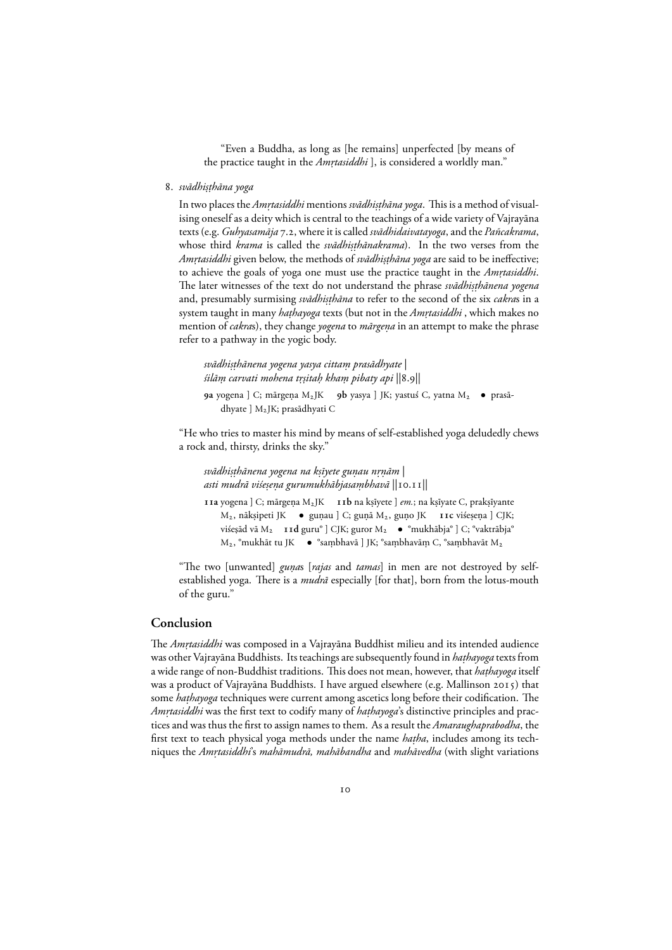"Even a Buddha, as long as [he remains] unperfected [by means of the practice taught in the *Amṛtasiddhi* ], is considered a worldly man."

. *svādhi. s . thāna yoga*

In two places the *Amrtasiddhi* mentions *svādhiṣṭhāna yoga*. This is a method of visualising oneself as a deity which is central to the teachings of a wide variety of Vajrayāna texts (e.g. *Guhyasamāja* 7.2, where it is called *svādhidaivatayoga*, and the *Pañcakrama*, whose third *krama* is called the *svādhiṣṭhānakrama*). In the two verses from the *Am. rtasiddhi* given below, the methods of *svādhi. s . thāna yoga* are said to be ineffective; to achieve the goals of yoga one must use the practice taught in the *Amrtasiddhi*. The later witnesses of the text do not understand the phrase *svādhi. s . thānena yogena* and, presumably surmising *svādhiṣṭhāna* to refer to the second of the six *cakra*s in a  $s$ ystem taught in many *haṭhayoga* texts (but not in the *Amṛtasiddhi* , which makes no mention of *cakra*s), they change *yogena* to *mārgeṇa* in an attempt to make the phrase refer to a pathway in the yogic body.

```
svādhi.
s
.
thānena yogena yasya cittam prasādhyate .
|
śilām carvati mohena t . .
r.
sitah kha . m pibaty api .
||.||
```

```
9a yogena ] C; mārgeņa M2JK 9b yasya ] JK; yastuś C, yatna M2 ● prasā-
   dhyate ] M2JK; prasādhyati C
```
"He who tries to master his mind by means of self-established yoga deludedly chews a rock and, thirsty, drinks the sky."

*svādhi. s . thānena yogena na k. sīyete gunau n . . rnām.* | *asti mudrā viśesena gurumukhābjasaṃbhavā* ||10.11||

**11a** yogena ] C; mārgeņa M<sub>2</sub>JK **b** na kṣīyete ] *em*.; na kṣīyate C, prakṣīyante M<sub>2</sub>, nākṣipeti JK ● guṇau ] C; guṇā M<sub>2</sub>, guṇo JK **11c** viśeṣeṇa ] CJK; viśeṣād vā M2 **· 11d** guru° ] CJK; guror M2 · ● °mukhābja° ] C; °vaktrābja° M<sub>2</sub>, °mukhāt tu JK °sambhavā ] JK; °sambhavām C, °sambhavāt M<sub>2</sub>

"The two [unwanted] *guna*s [*rajas* and *tamas*] in men are not destroyed by selfestablished yoga. There is a *mudrā* especially [for that], born from the lotus-mouth of the guru."

#### **Conclusion**

The *Amṛtasiddhi* was composed in a Vajrayāna Buddhist milieu and its intended audience was other Vajrayāna Buddhists. Its teachings are subsequently found in *haṭhayoga* texts from a wide range of non-Buddhist traditions. This does not mean, however, that *haṭhayoga* itself was a product of Vajrayāna Buddhists. I have argued elsewhere (e.g. Mallinson 2015) that some *hathayoga* techniques were current among ascetics long before their codification. The *Amrtasiddhi* was the first text to codify many of *hathayoga*'s distinctive principles and practices and was thus the first to assign names to them. As a result the *Amaraughaprabodha*, the first text to teach physical yoga methods under the name *hatha*, includes among its techniques the *Am. rtasiddhi*'s *mahāmudrā, mahābandha* and *mahāvedha* (with slight variations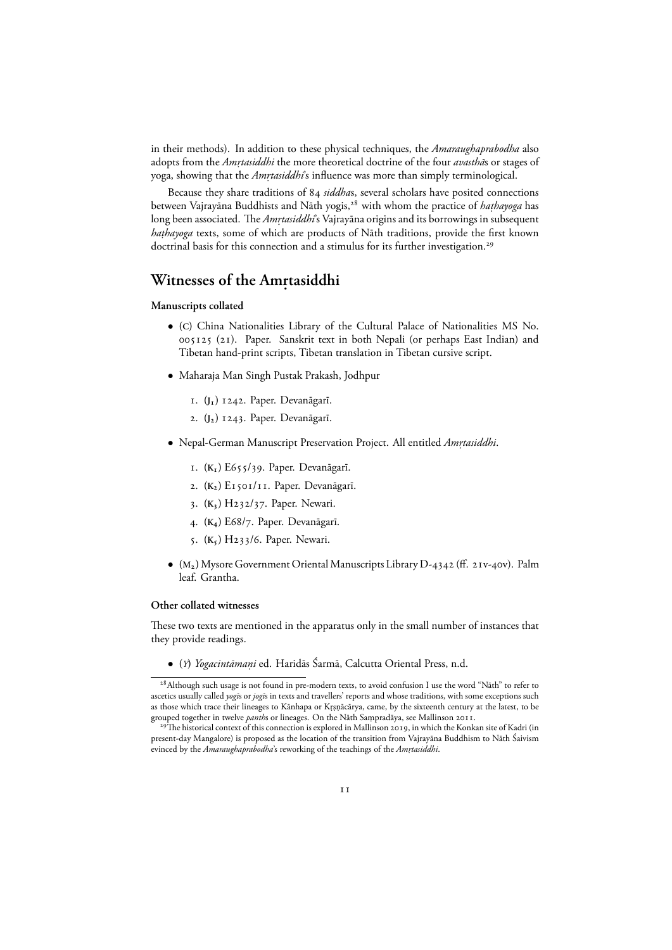in their methods). In addition to these physical techniques, the *Amaraughaprabodha* also adopts from the *Am. rtasiddhi* the more theoretical doctrine of the four *avasthā*s or stages of yoga, showing that the *Amrtasiddhi*'s influence was more than simply terminological.

Because they share traditions of *siddha*s, several scholars have posited connections between Vajrayāna Buddhists and Nāth yogis,<sup>28</sup> with whom the practice of *haṭhayoga* has long been associated. *The Amṛtasiddhi*'s Vajrayāna origins and its borrowings in subsequent *haṭhayoga* texts, some of which are products of Nāth traditions, provide the first known doctrinal basis for this connection and a stimulus for its further investigation.<sup>29</sup>

## $W$ itnesses of the Am<sub>.</sub>tasiddhi

#### **Manuscripts collated**

- *•* **(C)** China Nationalities Library of the Cultural Palace of Nationalities MS No. (). Paper. Sanskrit text in both Nepali (or perhaps East Indian) and Tibetan hand-print scripts, Tibetan translation in Tibetan cursive script.
- *•* Maharaja Man Singh Pustak Prakash, Jodhpur
	- . **(J)** . Paper. Devanāgarī.
	- . **(J)** . Paper. Devanāgarī.
- *•* Nepal-German Manuscript Preservation Project. All entitled *Am. rtasiddhi*.
	- . **(K)** E/. Paper. Devanāgarī.
	- 2. (K<sub>2</sub>) E<sub>1501</sub>/<sub>11</sub>. Paper. Devanāgarī.
	- . **(K)** H/. Paper. Newari.
	- . **(K)** E/. Paper. Devanāgarī.
	- . **(K)** H/. Paper. Newari.
- $(M_2)$  Mysore Government Oriental Manuscripts Library D-4342 (ff. 21v-40v). Palm leaf. Grantha.

#### **Other collated witnesses**

These two texts are mentioned in the apparatus only in the small number of instances that they provide readings.

*•* **(***Y***)** *Yogacintāmani.* ed. Haridās Śarmā, Calcutta Oriental Press, n.d.

<sup>&</sup>lt;sup>28</sup> Although such usage is not found in pre-modern texts, to avoid confusion I use the word "Nāth" to refer to ascetics usually called *yogī*s or *jogī*s in texts and travellers' reports and whose traditions, with some exceptions such as those which trace their lineages to Kānhapa or Krsnācārya, came, by the sixteenth century at the latest, to be grouped together in twelve *panths* or lineages. On the Nāth Sampradāya, see Mallinson 2011.

 $^{29}$ The historical context of this connection is explored in Mallinson 2019, in which the Konkan site of Kadri (in present-day Mangalore) is proposed as the location of the transition from Vajrayāna Buddhism to Nāth Śaivism evinced by the *Amaraughaprabodha*'s reworking of the teachings of the *Amrtasiddhi .* .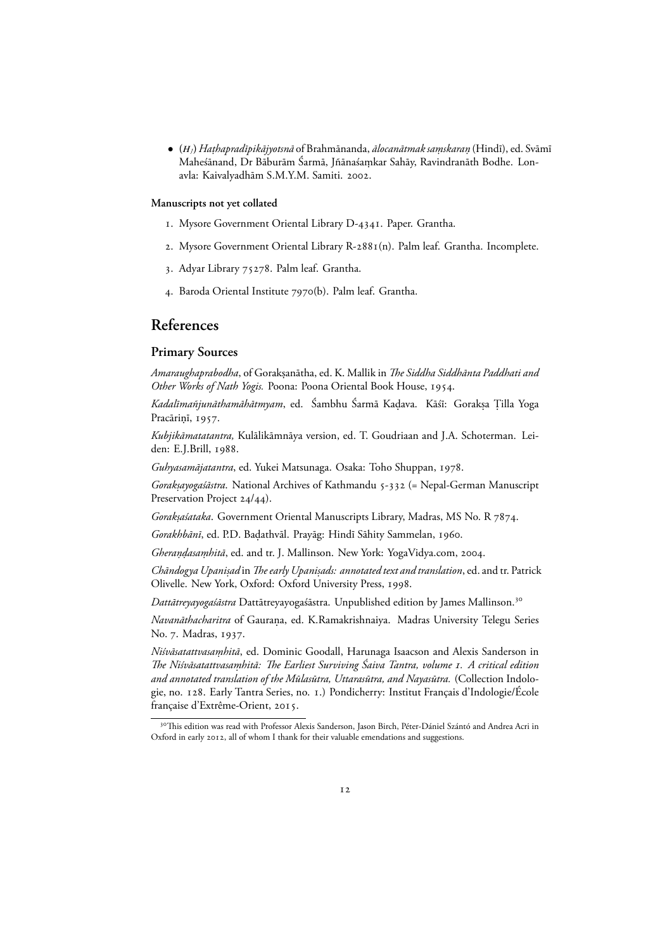*•* **(***HJ***)** *Ha. thapradīpikājyotsnā* of Brahmānanda, *ālocanātmak samskara . n.* (Hindī), ed. Svāmī Maheśānand, Dr Bāburām Śarmā, Jñānaśamkar Sahāy, Ravindranāth Bodhe. Lon- . avla: Kaivalyadhām S.M.Y.M. Samiti. 2002.

#### **Manuscripts not yet collated**

- 1. Mysore Government Oriental Library D-4341. Paper. Grantha.
- 2. Mysore Government Oriental Library R-2881(n). Palm leaf. Grantha. Incomplete.
- 3. Adyar Library 75278. Palm leaf. Grantha.
- 4. Baroda Oriental Institute 7970(b). Palm leaf. Grantha.

### **References**

#### **Primary Sources**

*Amaraughaprabodha*, of Gorakṣanātha, ed. K. Mallik in *The Siddha Siddhānta Paddhati ana* Other Works of Nath Yogis. Poona: Poona Oriental Book House, 1954.

*Kadalīmañjunāthamāhātmyam*, ed. Sambhu Sarmā Kaḍava. Kāśī: Gorakṣa Țilla Yoga Pracāriņī, 1957.

*Kubjikāmatatantra,* Kulālikāmnāya version, ed. T. Goudriaan and J.A. Schoterman. Leiden: E.J.Brill, 1988.

Guhyasamājatantra, ed. Yukei Matsunaga. Osaka: Toho Shuppan, 1978.

*Gorakṣayogaśāstra*. National Archives of Kathmandu 5-332 (= Nepal-German Manuscript Preservation Project 24/44).

*Goraksaśataka*. Government Oriental Manuscripts Library, Madras, MS No. R 7874.

Gorakhbānī, ed. P.D. Badathvāl. Prayāg: Hindī Sāhity Sammelan, 1960.

*Gherandasaṃhitā*, ed. and tr. J. Mallinson. New York: YogaVidya.com, 2004.

*Chāndogya Upani. sad* in *The early Upani. sads: annotated text and translation*, ed. and tr. Patrick Olivelle. New York, Oxford: Oxford University Press, 1998.

*Dattātreyayogaśāstra* Dattātreyayogaśāstra. Unpublished edition by James Mallinson.

*Navanāthacharitra* of Gaurana, ed. K.Ramakrishnaiya. Madras University Telegu Series . No. 7. Madras, 1937.

*Niśvāsatattvasamhitā .* , ed. Dominic Goodall, Harunaga Isaacson and Alexis Sanderson in *The Niśvāsatattvasamhitā: The Earliest Surviving Śaiva Tantra, volume . A critical edition . and annotated translation of the Mūlasūtra, Uttarasūtra, and Nayasūtra.* (Collection Indologie, no. 128. Early Tantra Series, no. 1.) Pondicherry: Institut Français d'Indologie/École française d'Extrême-Orient, 2015.

<sup>&</sup>lt;sup>30</sup>This edition was read with Professor Alexis Sanderson, Jason Birch, Péter-Dániel Szántó and Andrea Acri in Oxford in early 2012, all of whom I thank for their valuable emendations and suggestions.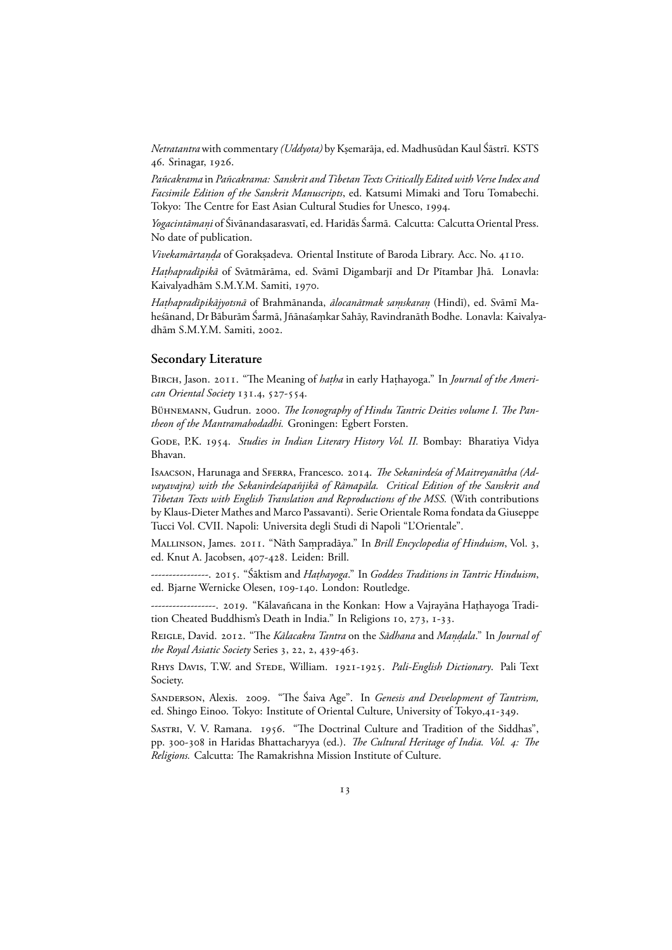*Netratantra* with commentary *(Uddyota)* by K. semarāja, ed. Madhusūdan Kaul Śāstrī. KSTS 46. Srinagar, 1926.

*Pañcakrama* in *Pañcakrama: Sanskrit and Tibetan Texts Critically Edited with Verse Index and Facsimile Edition of the Sanskrit Manuscripts*, ed. Katsumi Mimaki and Toru Tomabechi. Tokyo: The Centre for East Asian Cultural Studies for Unesco, 1994.

*Yogacintāmani.* of Śivānandasarasvatī, ed. Haridās Śarmā. Calcutta: Calcutta Oriental Press. No date of publication.

*Vivekamārtaṇḍa* of Gorakṣadeva. Oriental Institute of Baroda Library. Acc. No. 4110.

*Haṭhapradīpikā* of Svātmārāma, ed. Svāmī Digambarjī and Dr Pītambar Jhā. Lonavla: Kaivalyadhām S.M.Y.M. Samiti, 1970.

*Haṭhapradīpikājyotsnā* of Brahmānanda, *ālocanātmak saṃskaraṇ* (Hindī), ed. Svāmī Maheśānand, Dr Bāburām Śarmā, Jñānaśamkar Sahāy, Ravindranāth Bodhe. Lonavla: Kaivalya- . dhām S.M.Y.M. Samiti, 2002.

#### **Secondary Literature**

Birch, Jason. 2011. "The Meaning of *haṭha* in early Haṭhayoga." In *Journal of the American Oriental Society* 131.4, 527-554.

BÜHNEMANN, Gudrun. 2000. The Iconography of Hindu Tantric Deities volume I. The Pan*theon of the Mantramahodadhi.* Groningen: Egbert Forsten.

GODE, P.K. 1954. Studies in Indian Literary History Vol. II. Bombay: Bharatiya Vidya Bhavan.

Isaacson, Harunaga and Sferra, Francesco. . *The Sekanirdeśa of Maitreyanātha (Advayavajra) with the Sekanirdeśapañjikā of Rāmapāla. Critical Edition of the Sanskrit and Tibetan Texts with English Translation and Reproductions of the MSS.* (With contributions by Klaus-Dieter Mathes and Marco Passavanti). Serie Orientale Roma fondata da Giuseppe Tucci Vol. CVII. Napoli: Universita degli Studi di Napoli "L'Orientale".

MALLINSON, James. 2011. "Nāth Sampradāya." In Brill Encyclopedia of Hinduism, Vol. 3, ed. Knut A. Jacobsen, 407-428. Leiden: Brill.

----------------. 2015. "Sāktism and *Haṭhayoga.*" In *Goddess Traditions in Tantric Hinduism*, ed. Bjarne Wernicke Olesen, 109-140. London: Routledge.

------------------. 2019. "Kālavañcana in the Konkan: How a Vajrayāna Haṭhayoga Tradition Cheated Buddhism's Death in India." In Religions 10, 273, 1-33.

Reigle, David. 2012. "The *Kālacakra Tantra* on the *Sādhana* and *Maṇḍala.*" In *Journal o*j *the Royal Asiatic Society Series 3, 22, 2, 439-463.* 

RHYS DAVIS, T.W. and STEDE, William. 1921-1925. Pali-English Dictionary. Pali Text Society.

SANDERSON, Alexis. 2009. "The Śaiva Age". In *Genesis and Development of Tantrism*, ed. Shingo Einoo. Tokyo: Institute of Oriental Culture, University of Tokyo,41-349.

SASTRI, V. V. Ramana. 1956. "The Doctrinal Culture and Tradition of the Siddhas", pp. 300-308 in Haridas Bhattacharyya (ed.). *The Cultural Heritage of India. Vol. 4: The Religions.* Calcutta: The Ramakrishna Mission Institute of Culture.